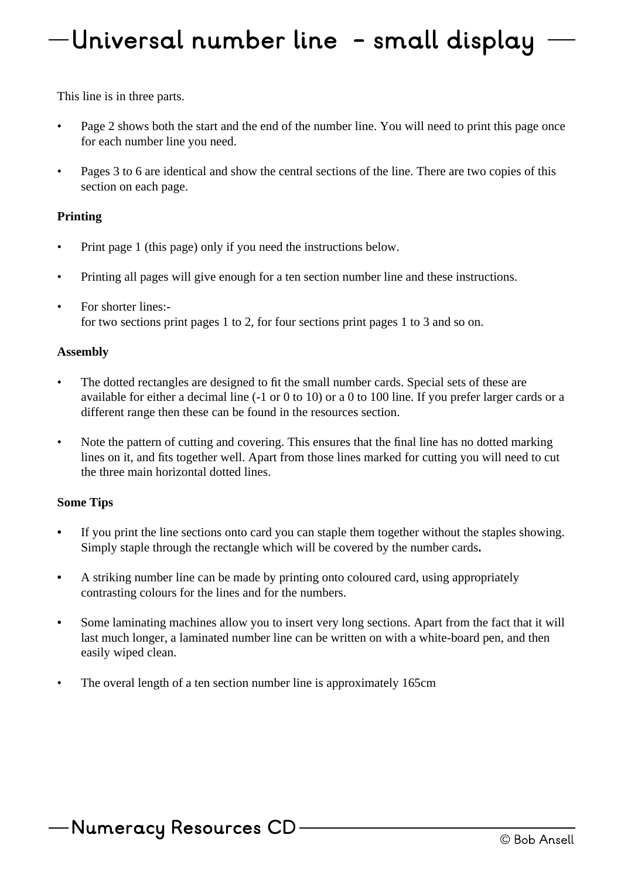## Universal number line - small display

This line is in three parts.

- Page 2 shows both the start and the end of the number line. You will need to print this page once for each number line you need.
- Pages 3 to 6 are identical and show the central sections of the line. There are two copies of this section on each page.

## **Printing**

- Print page 1 (this page) only if you need the instructions below.
- Printing all pages will give enough for a ten section number line and these instructions.
- For shorter lines:for two sections print pages 1 to 2, for four sections print pages 1 to 3 and so on.

## **Assembly**

- The dotted rectangles are designed to fit the small number cards. Special sets of these are available for either a decimal line (-1 or 0 to 10) or a 0 to 100 line. If you prefer larger cards or a different range then these can be found in the resources section.
- Note the pattern of cutting and covering. This ensures that the final line has no dotted marking lines on it, and fits together well. Apart from those lines marked for cutting you will need to cut the three main horizontal dotted lines.

## **Some Tips**

- **•** If you print the line sections onto card you can staple them together without the staples showing. Simply staple through the rectangle which will be covered by the number cards**.**
- **•** A striking number line can be made by printing onto coloured card, using appropriately contrasting colours for the lines and for the numbers.
- Some laminating machines allow you to insert very long sections. Apart from the fact that it will last much longer, a laminated number line can be written on with a white-board pen, and then easily wiped clean.
- The overal length of a ten section number line is approximately 165cm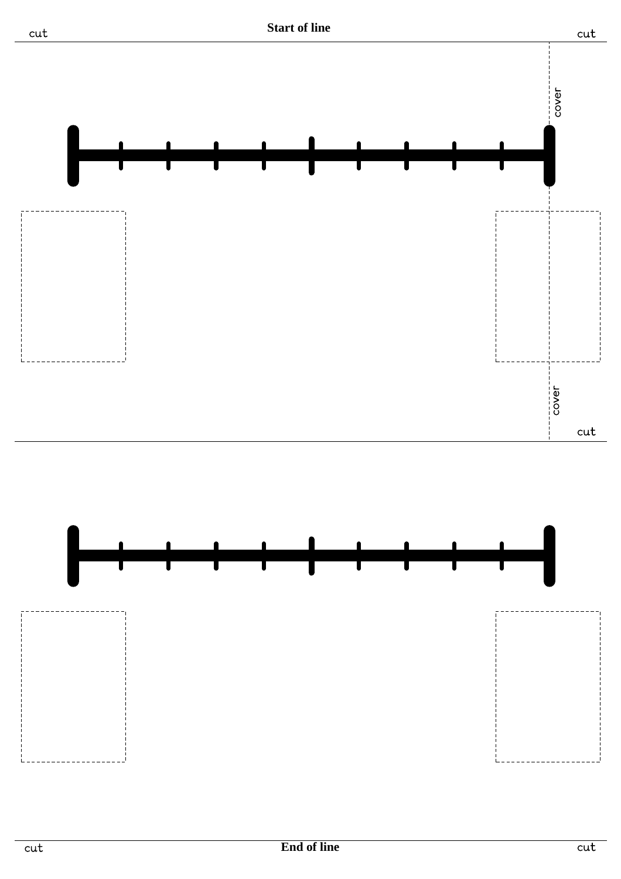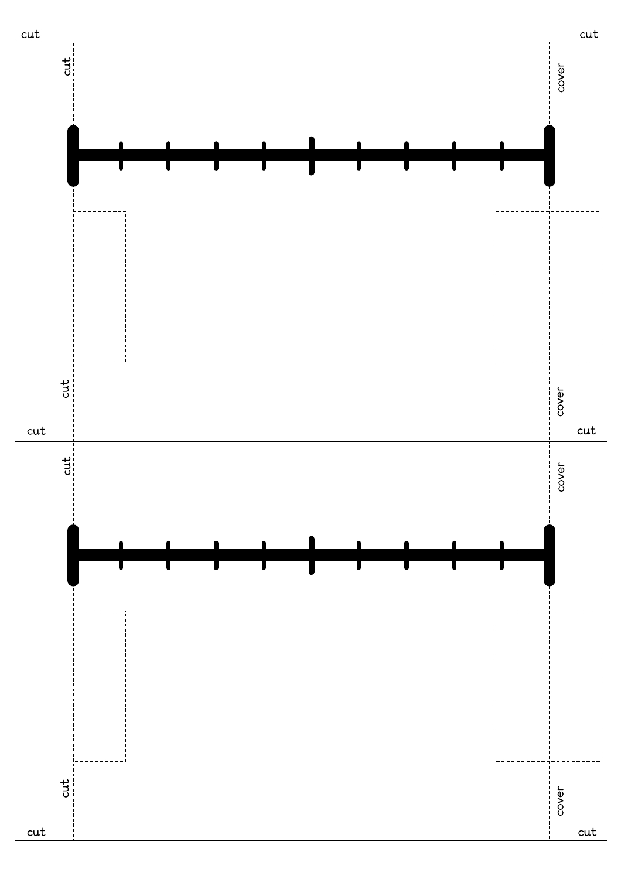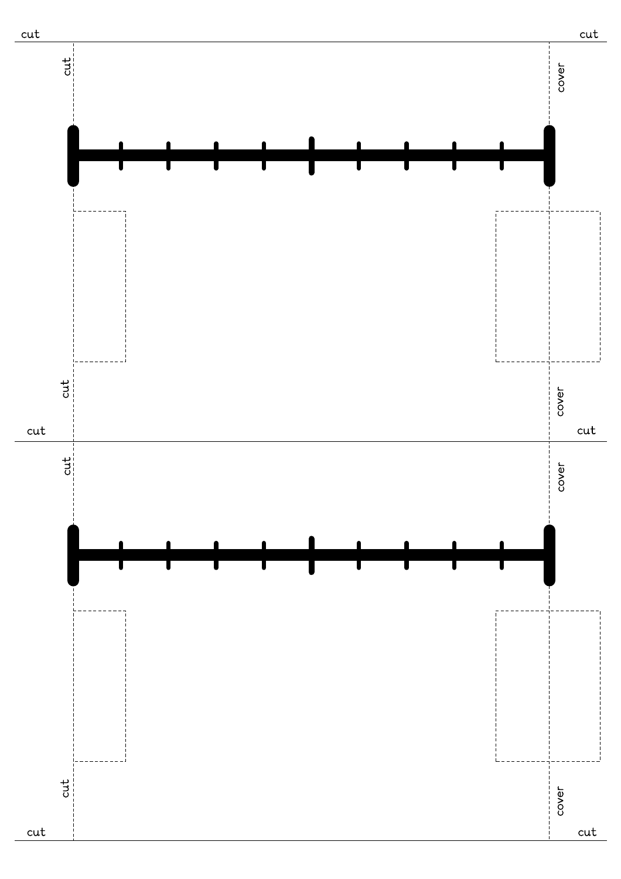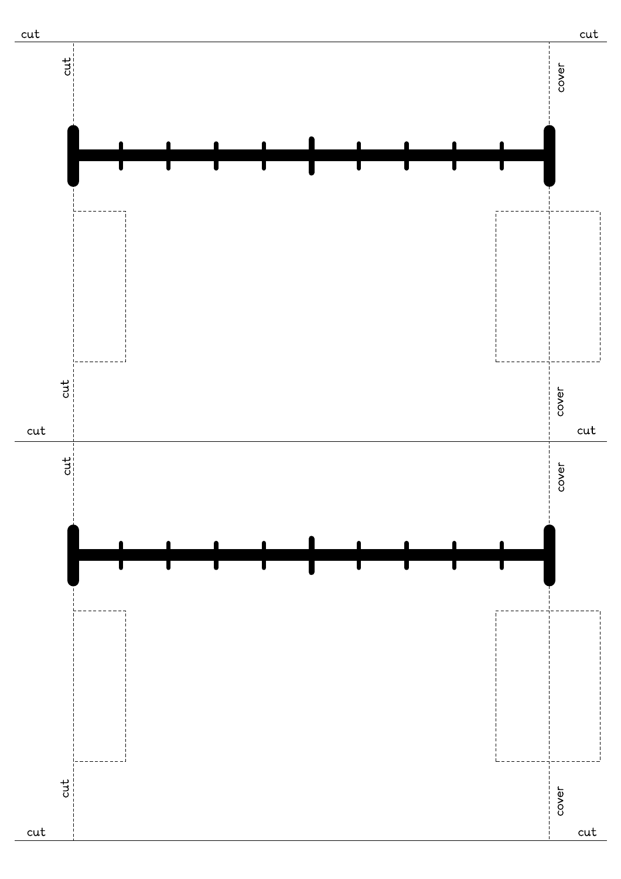